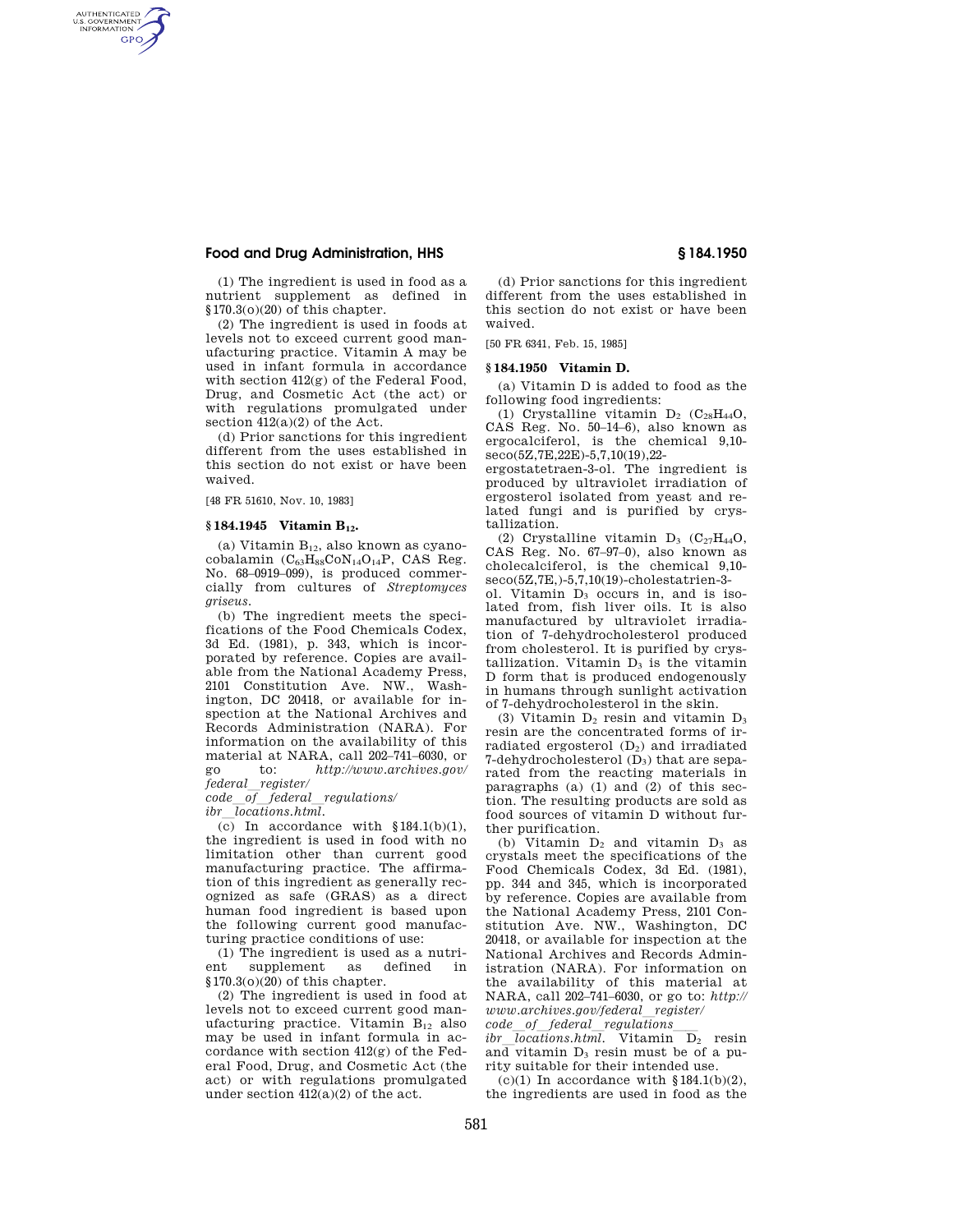# **Food and Drug Administration, HHS § 184.1950**

AUTHENTICATED<br>U.S. GOVERNMENT<br>INFORMATION **GPO** 

> (1) The ingredient is used in food as a nutrient supplement as defined in §170.3(o)(20) of this chapter.

(2) The ingredient is used in foods at levels not to exceed current good manufacturing practice. Vitamin A may be used in infant formula in accordance with section 412(g) of the Federal Food, Drug, and Cosmetic Act (the act) or with regulations promulgated under section 412(a)(2) of the Act.

(d) Prior sanctions for this ingredient different from the uses established in this section do not exist or have been waived.

[48 FR 51610, Nov. 10, 1983]

### **§ 184.1945 Vitamin B12.**

(a) Vitamin  $B_{12}$ , also known as cyanocobalamin  $(C_{63}H_{88}CoN_{14}O_{14}P, CAS Reg.$ No. 68–0919–099), is produced commercially from cultures of *Streptomyces griseus.* 

(b) The ingredient meets the specifications of the Food Chemicals Codex, 3d Ed. (1981), p. 343, which is incorporated by reference. Copies are available from the National Academy Press, 2101 Constitution Ave. NW., Washington, DC 20418, or available for inspection at the National Archives and Records Administration (NARA). For information on the availability of this material at NARA, call 202–741–6030, or go to: *http://www.archives.gov/ federal*l*register/* 

*code*l*of*l*federal*l*regulations/ ibr*l*locations.html.* 

 $(c)$  In accordance with  $$184.1(b)(1)$ , the ingredient is used in food with no limitation other than current good manufacturing practice. The affirmation of this ingredient as generally recognized as safe (GRAS) as a direct human food ingredient is based upon the following current good manufacturing practice conditions of use:

(1) The ingredient is used as a nutrient supplement as defined in §170.3(o)(20) of this chapter.

(2) The ingredient is used in food at levels not to exceed current good manufacturing practice. Vitamin  $B_{12}$  also may be used in infant formula in accordance with section  $412(g)$  of the Federal Food, Drug, and Cosmetic Act (the act) or with regulations promulgated under section 412(a)(2) of the act.

(d) Prior sanctions for this ingredient different from the uses established in this section do not exist or have been waived.

[50 FR 6341, Feb. 15, 1985]

# **§ 184.1950 Vitamin D.**

(a) Vitamin D is added to food as the following food ingredients:

(1) Crystalline vitamin  $D_2$  (C<sub>28</sub>H<sub>44</sub>O, CAS Reg. No. 50–14–6), also known as ergocalciferol, is the chemical 9,10 seco(5Z,7E,22E)-5,7,10(19),22-

ergostatetraen-3-ol. The ingredient is produced by ultraviolet irradiation of ergosterol isolated from yeast and related fungi and is purified by crystallization.

(2) Crystalline vitamin  $D_3$  (C<sub>27</sub>H<sub>44</sub>O, CAS Reg. No. 67–97–0), also known as cholecalciferol, is the chemical 9,10 seco(5Z,7E,)-5,7,10(19)-cholestatrien-3-

ol. Vitamin  $D_3$  occurs in, and is isolated from, fish liver oils. It is also manufactured by ultraviolet irradiation of 7-dehydrocholesterol produced from cholesterol. It is purified by crystallization. Vitamin  $D_3$  is the vitamin D form that is produced endogenously in humans through sunlight activation of 7-dehydrocholesterol in the skin.

(3) Vitamin  $D_2$  resin and vitamin  $D_3$ resin are the concentrated forms of irradiated ergosterol (D2) and irradiated 7-dehydrocholesterol  $(D_3)$  that are separated from the reacting materials in paragraphs (a) (1) and (2) of this section. The resulting products are sold as food sources of vitamin D without further purification.

(b) Vitamin  $D_2$  and vitamin  $D_3$  as crystals meet the specifications of the Food Chemicals Codex, 3d Ed. (1981), pp. 344 and 345, which is incorporated by reference. Copies are available from the National Academy Press, 2101 Constitution Ave. NW., Washington, DC 20418, or available for inspection at the National Archives and Records Administration (NARA). For information on the availability of this material at NARA, call 202–741–6030, or go to: *http:// www.archives.gov/federal*l*register/*   $code_of_federal_regulations$ 

*ibr locations.html*. Vitamin D<sub>2</sub> resin and vitamin  $D_3$  resin must be of a purity suitable for their intended use.

(c)(1) In accordance with  $$184.1(b)(2)$ , the ingredients are used in food as the